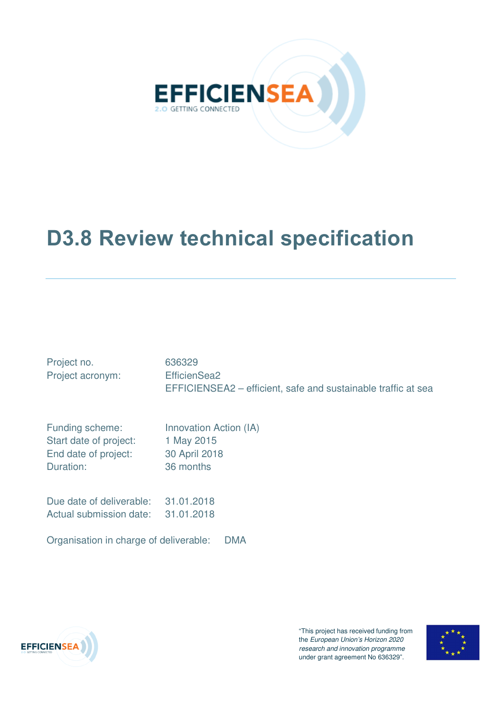

# **D3.8 Review technical specification**

| Project no.<br>Project acronym:        | 636329<br>EfficienSea2<br>EFFICIENSEA2 – efficient, safe and sustainable traffic at sea |
|----------------------------------------|-----------------------------------------------------------------------------------------|
| Funding scheme:                        | Innovation Action (IA)                                                                  |
| Start date of project:                 | 1 May 2015                                                                              |
| End date of project:                   | 30 April 2018                                                                           |
| Duration:                              | 36 months                                                                               |
| Due date of deliverable:               | 31.01.2018                                                                              |
| Actual submission date:                | 31.01.2018                                                                              |
| Organisation in charge of deliverable: | <b>DMA</b>                                                                              |



"This project has received funding from the European Union's Horizon 2020 research and innovation programme under grant agreement No 636329".

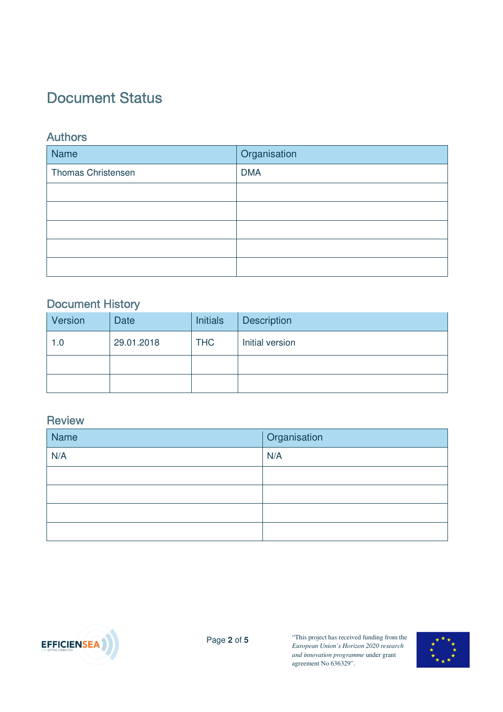# **Document Status**

### **Authors**

| <b>Name</b>               | Organisation |
|---------------------------|--------------|
| <b>Thomas Christensen</b> | <b>DMA</b>   |
|                           |              |
|                           |              |
|                           |              |
|                           |              |
|                           |              |

## Document History

| Version | <b>Date</b> | <b>Initials</b> | <b>Description</b> |
|---------|-------------|-----------------|--------------------|
| 1.0     | 29.01.2018  | <b>THC</b>      | Initial version    |
|         |             |                 |                    |
|         |             |                 |                    |

### Review

| Name | Organisation |
|------|--------------|
| N/A  | N/A          |
|      |              |
|      |              |
|      |              |
|      |              |



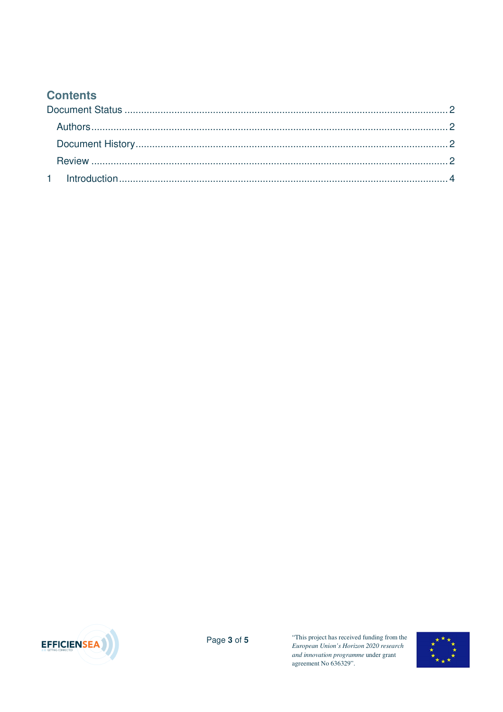## **Contents**



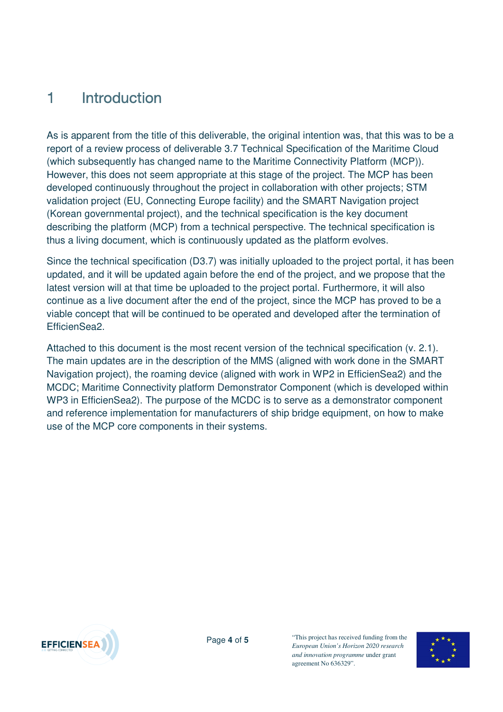# 1 **Introduction**

As is apparent from the title of this deliverable, the original intention was, that this was to be a report of a review process of deliverable 3.7 Technical Specification of the Maritime Cloud (which subsequently has changed name to the Maritime Connectivity Platform (MCP)). However, this does not seem appropriate at this stage of the project. The MCP has been developed continuously throughout the project in collaboration with other projects; STM validation project (EU, Connecting Europe facility) and the SMART Navigation project (Korean governmental project), and the technical specification is the key document describing the platform (MCP) from a technical perspective. The technical specification is thus a living document, which is continuously updated as the platform evolves.

Since the technical specification (D3.7) was initially uploaded to the project portal, it has been updated, and it will be updated again before the end of the project, and we propose that the latest version will at that time be uploaded to the project portal. Furthermore, it will also continue as a live document after the end of the project, since the MCP has proved to be a viable concept that will be continued to be operated and developed after the termination of EfficienSea2.

Attached to this document is the most recent version of the technical specification (v. 2.1). The main updates are in the description of the MMS (aligned with work done in the SMART Navigation project), the roaming device (aligned with work in WP2 in EfficienSea2) and the MCDC; Maritime Connectivity platform Demonstrator Component (which is developed within WP3 in EfficienSea2). The purpose of the MCDC is to serve as a demonstrator component and reference implementation for manufacturers of ship bridge equipment, on how to make use of the MCP core components in their systems.